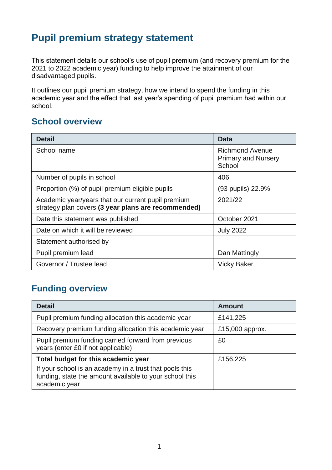## **Pupil premium strategy statement**

This statement details our school's use of pupil premium (and recovery premium for the 2021 to 2022 academic year) funding to help improve the attainment of our disadvantaged pupils.

It outlines our pupil premium strategy, how we intend to spend the funding in this academic year and the effect that last year's spending of pupil premium had within our school.

### **School overview**

| <b>Detail</b>                                                                                             | Data                                                           |
|-----------------------------------------------------------------------------------------------------------|----------------------------------------------------------------|
| School name                                                                                               | <b>Richmond Avenue</b><br><b>Primary and Nursery</b><br>School |
| Number of pupils in school                                                                                | 406                                                            |
| Proportion (%) of pupil premium eligible pupils                                                           | (93 pupils) 22.9%                                              |
| Academic year/years that our current pupil premium<br>strategy plan covers (3 year plans are recommended) | 2021/22                                                        |
| Date this statement was published                                                                         | October 2021                                                   |
| Date on which it will be reviewed                                                                         | <b>July 2022</b>                                               |
| Statement authorised by                                                                                   |                                                                |
| Pupil premium lead                                                                                        | Dan Mattingly                                                  |
| Governor / Trustee lead                                                                                   | <b>Vicky Baker</b>                                             |

## **Funding overview**

| <b>Detail</b>                                                                                                                                                              | <b>Amount</b>   |
|----------------------------------------------------------------------------------------------------------------------------------------------------------------------------|-----------------|
| Pupil premium funding allocation this academic year                                                                                                                        | £141,225        |
| Recovery premium funding allocation this academic year                                                                                                                     | £15,000 approx. |
| Pupil premium funding carried forward from previous<br>years (enter £0 if not applicable)                                                                                  | £0              |
| Total budget for this academic year<br>If your school is an academy in a trust that pools this<br>funding, state the amount available to your school this<br>academic year | £156,225        |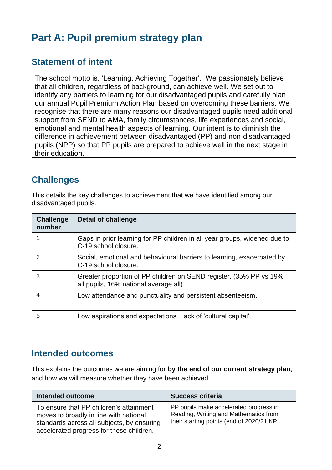# **Part A: Pupil premium strategy plan**

### **Statement of intent**

The school motto is, 'Learning, Achieving Together'. We passionately believe that all children, regardless of background, can achieve well. We set out to identify any barriers to learning for our disadvantaged pupils and carefully plan our annual Pupil Premium Action Plan based on overcoming these barriers. We recognise that there are many reasons our disadvantaged pupils need additional support from SEND to AMA, family circumstances, life experiences and social, emotional and mental health aspects of learning. Our intent is to diminish the difference in achievement between disadvantaged (PP) and non-disadvantaged pupils (NPP) so that PP pupils are prepared to achieve well in the next stage in their education.

### **Challenges**

This details the key challenges to achievement that we have identified among our disadvantaged pupils.

| <b>Challenge</b><br>number | <b>Detail of challenge</b>                                                                                  |
|----------------------------|-------------------------------------------------------------------------------------------------------------|
|                            | Gaps in prior learning for PP children in all year groups, widened due to<br>C-19 school closure.           |
| $\mathcal{P}$              | Social, emotional and behavioural barriers to learning, exacerbated by<br>C-19 school closure.              |
| 3                          | Greater proportion of PP children on SEND register. (35% PP vs 19%<br>all pupils, 16% national average all) |
| 4                          | Low attendance and punctuality and persistent absenteeism.                                                  |
| 5                          | Low aspirations and expectations. Lack of 'cultural capital'.                                               |

### **Intended outcomes**

This explains the outcomes we are aiming for **by the end of our current strategy plan**, and how we will measure whether they have been achieved.

| Intended outcome                                                                                                                                                            | <b>Success criteria</b>                                                                                                       |
|-----------------------------------------------------------------------------------------------------------------------------------------------------------------------------|-------------------------------------------------------------------------------------------------------------------------------|
| To ensure that PP children's attainment<br>moves to broadly in line with national<br>standards across all subjects, by ensuring<br>accelerated progress for these children. | PP pupils make accelerated progress in<br>Reading, Writing and Mathematics from<br>their starting points (end of 2020/21 KPI) |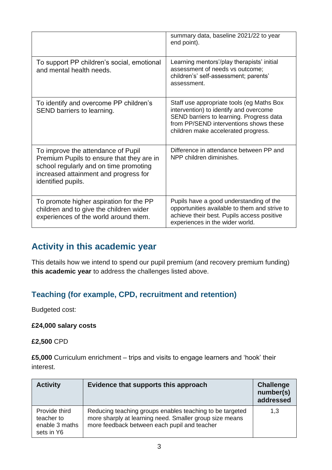|                                                                                                                                                                                          | summary data, baseline 2021/22 to year<br>end point).                                                                                                                                                            |
|------------------------------------------------------------------------------------------------------------------------------------------------------------------------------------------|------------------------------------------------------------------------------------------------------------------------------------------------------------------------------------------------------------------|
| To support PP children's social, emotional<br>and mental health needs.                                                                                                                   | Learning mentors'/play therapists' initial<br>assessment of needs vs outcome;<br>children's' self-assessment; parents'<br>assessment.                                                                            |
| To identify and overcome PP children's<br>SEND barriers to learning.                                                                                                                     | Staff use appropriate tools (eg Maths Box<br>intervention) to identify and overcome<br>SEND barriers to learning. Progress data<br>from PP/SEND interventions shows these<br>children make accelerated progress. |
| To improve the attendance of Pupil<br>Premium Pupils to ensure that they are in<br>school regularly and on time promoting<br>increased attainment and progress for<br>identified pupils. | Difference in attendance between PP and<br>NPP children diminishes.                                                                                                                                              |
| To promote higher aspiration for the PP<br>children and to give the children wider<br>experiences of the world around them.                                                              | Pupils have a good understanding of the<br>opportunities available to them and strive to<br>achieve their best. Pupils access positive<br>experiences in the wider world.                                        |

### **Activity in this academic year**

This details how we intend to spend our pupil premium (and recovery premium funding) **this academic year** to address the challenges listed above.

### **Teaching (for example, CPD, recruitment and retention)**

Budgeted cost:

#### **£24,000 salary costs**

#### **£2,500** CPD

**£5,000** Curriculum enrichment – trips and visits to engage learners and 'hook' their interest.

| <b>Activity</b>                                             | Evidence that supports this approach                                                                                                                                | <b>Challenge</b><br>number(s)<br>addressed |
|-------------------------------------------------------------|---------------------------------------------------------------------------------------------------------------------------------------------------------------------|--------------------------------------------|
| Provide third<br>teacher to<br>enable 3 maths<br>sets in Y6 | Reducing teaching groups enables teaching to be targeted<br>more sharply at learning need. Smaller group size means<br>more feedback between each pupil and teacher | 1,3                                        |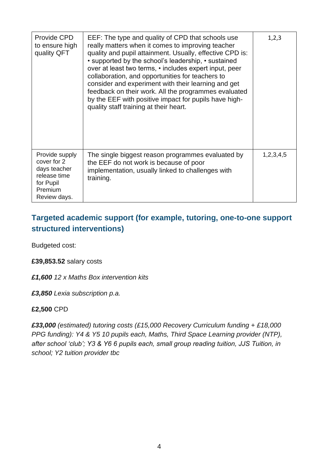| Provide CPD<br>to ensure high<br>quality QFT                                                          | EEF: The type and quality of CPD that schools use<br>really matters when it comes to improving teacher<br>quality and pupil attainment. Usually, effective CPD is:<br>• supported by the school's leadership, • sustained<br>over at least two terms, • includes expert input, peer<br>collaboration, and opportunities for teachers to<br>consider and experiment with their learning and get<br>feedback on their work. All the programmes evaluated<br>by the EEF with positive impact for pupils have high-<br>quality staff training at their heart. | 1,2,3     |
|-------------------------------------------------------------------------------------------------------|-----------------------------------------------------------------------------------------------------------------------------------------------------------------------------------------------------------------------------------------------------------------------------------------------------------------------------------------------------------------------------------------------------------------------------------------------------------------------------------------------------------------------------------------------------------|-----------|
| Provide supply<br>cover for 2<br>days teacher<br>release time<br>for Pupil<br>Premium<br>Review days. | The single biggest reason programmes evaluated by<br>the EEF do not work is because of poor<br>implementation, usually linked to challenges with<br>training.                                                                                                                                                                                                                                                                                                                                                                                             | 1,2,3,4,5 |

### **Targeted academic support (for example, tutoring, one-to-one support structured interventions)**

Budgeted cost:

#### **£39,853.52** salary costs

*£1,600 12 x Maths Box intervention kits* 

*£3,850 Lexia subscription p.a.*

#### **£2,500** CPD

*£33,000 (estimated) tutoring costs (£15,000 Recovery Curriculum funding + £18,000 PPG funding): Y4 & Y5 10 pupils each, Maths, Third Space Learning provider (NTP), after school 'club'; Y3 & Y6 6 pupils each, small group reading tuition, JJS Tuition, in school; Y2 tuition provider tbc*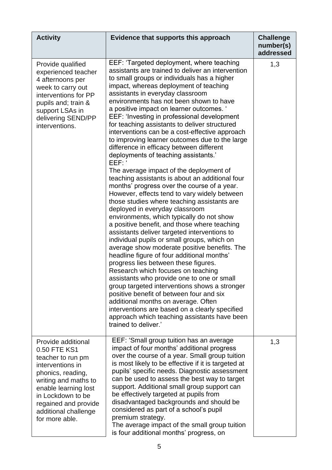| <b>Activity</b>                                                                                                                                                                                                                         | Evidence that supports this approach                                                                                                                                                                                                                                                                                                                                                                                                                                                                                                                                                                                                                                                                                                                                                                                                                                                                                                                                                                                                                                                                                                                                                                                                                                                                                                                                                                                                                                                                                                                                                 | <b>Challenge</b><br>number(s)<br>addressed |
|-----------------------------------------------------------------------------------------------------------------------------------------------------------------------------------------------------------------------------------------|--------------------------------------------------------------------------------------------------------------------------------------------------------------------------------------------------------------------------------------------------------------------------------------------------------------------------------------------------------------------------------------------------------------------------------------------------------------------------------------------------------------------------------------------------------------------------------------------------------------------------------------------------------------------------------------------------------------------------------------------------------------------------------------------------------------------------------------------------------------------------------------------------------------------------------------------------------------------------------------------------------------------------------------------------------------------------------------------------------------------------------------------------------------------------------------------------------------------------------------------------------------------------------------------------------------------------------------------------------------------------------------------------------------------------------------------------------------------------------------------------------------------------------------------------------------------------------------|--------------------------------------------|
| Provide qualified<br>experienced teacher<br>4 afternoons per<br>week to carry out<br>interventions for PP<br>pupils and; train &<br>support LSAs in<br>delivering SEND/PP<br>interventions.                                             | EEF: 'Targeted deployment, where teaching<br>assistants are trained to deliver an intervention<br>to small groups or individuals has a higher<br>impact, whereas deployment of teaching<br>assistants in everyday classroom<br>environments has not been shown to have<br>a positive impact on learner outcomes. '<br>EEF: 'Investing in professional development<br>for teaching assistants to deliver structured<br>interventions can be a cost-effective approach<br>to improving learner outcomes due to the large<br>difference in efficacy between different<br>deployments of teaching assistants.'<br>EEF:<br>The average impact of the deployment of<br>teaching assistants is about an additional four<br>months' progress over the course of a year.<br>However, effects tend to vary widely between<br>those studies where teaching assistants are<br>deployed in everyday classroom<br>environments, which typically do not show<br>a positive benefit, and those where teaching<br>assistants deliver targeted interventions to<br>individual pupils or small groups, which on<br>average show moderate positive benefits. The<br>headline figure of four additional months'<br>progress lies between these figures.<br>Research which focuses on teaching<br>assistants who provide one to one or small<br>group targeted interventions shows a stronger<br>positive benefit of between four and six<br>additional months on average. Often<br>interventions are based on a clearly specified<br>approach which teaching assistants have been<br>trained to deliver.' | 1,3                                        |
| Provide additional<br>0.50 FTE KS1<br>teacher to run pm<br>interventions in<br>phonics, reading,<br>writing and maths to<br>enable learning lost<br>in Lockdown to be<br>regained and provide<br>additional challenge<br>for more able. | EEF: 'Small group tuition has an average<br>impact of four months' additional progress<br>over the course of a year. Small group tuition<br>is most likely to be effective if it is targeted at<br>pupils' specific needs. Diagnostic assessment<br>can be used to assess the best way to target<br>support. Additional small group support can<br>be effectively targeted at pupils from<br>disadvantaged backgrounds and should be<br>considered as part of a school's pupil<br>premium strategy.<br>The average impact of the small group tuition<br>is four additional months' progress, on                                                                                                                                                                                                                                                                                                                                                                                                                                                                                                                                                                                                                                                                                                                                                                                                                                                                                                                                                                                      | 1,3                                        |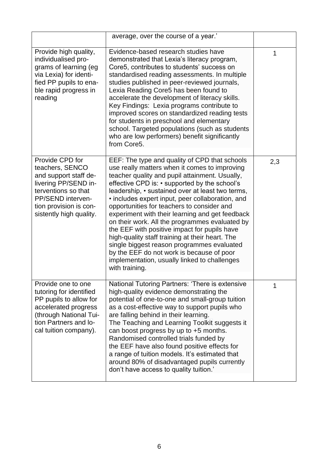|                                                                                                                                                                                      | average, over the course of a year.'                                                                                                                                                                                                                                                                                                                                                                                                                                                                                                                                                                                                                                                                                         |     |
|--------------------------------------------------------------------------------------------------------------------------------------------------------------------------------------|------------------------------------------------------------------------------------------------------------------------------------------------------------------------------------------------------------------------------------------------------------------------------------------------------------------------------------------------------------------------------------------------------------------------------------------------------------------------------------------------------------------------------------------------------------------------------------------------------------------------------------------------------------------------------------------------------------------------------|-----|
| Provide high quality,<br>individualised pro-<br>grams of learning (eg<br>via Lexia) for identi-<br>fied PP pupils to ena-<br>ble rapid progress in<br>reading                        | Evidence-based research studies have<br>demonstrated that Lexia's literacy program,<br>Core5, contributes to students' success on<br>standardised reading assessments. In multiple<br>studies published in peer-reviewed journals,<br>Lexia Reading Core5 has been found to<br>accelerate the development of literacy skills.<br>Key Findings: Lexia programs contribute to<br>improved scores on standardized reading tests<br>for students in preschool and elementary<br>school. Targeted populations (such as students<br>who are low performers) benefit significantly<br>from Core5.                                                                                                                                   | 1   |
| Provide CPD for<br>teachers, SENCO<br>and support staff de-<br>livering PP/SEND in-<br>terventions so that<br>PP/SEND interven-<br>tion provision is con-<br>sistently high quality. | EEF: The type and quality of CPD that schools<br>use really matters when it comes to improving<br>teacher quality and pupil attainment. Usually,<br>effective CPD is: • supported by the school's<br>leadership, • sustained over at least two terms,<br>• includes expert input, peer collaboration, and<br>opportunities for teachers to consider and<br>experiment with their learning and get feedback<br>on their work. All the programmes evaluated by<br>the EEF with positive impact for pupils have<br>high-quality staff training at their heart. The<br>single biggest reason programmes evaluated<br>by the EEF do not work is because of poor<br>implementation, usually linked to challenges<br>with training. | 2,3 |
| Provide one to one<br>tutoring for identified<br>PP pupils to allow for<br>accelerated progress<br>(through National Tui-<br>tion Partners and lo-<br>cal tuition company).          | National Tutoring Partners: 'There is extensive<br>high-quality evidence demonstrating the<br>potential of one-to-one and small-group tuition<br>as a cost-effective way to support pupils who<br>are falling behind in their learning.<br>The Teaching and Learning Toolkit suggests it<br>can boost progress by up to $+5$ months.<br>Randomised controlled trials funded by<br>the EEF have also found positive effects for<br>a range of tuition models. It's estimated that<br>around 80% of disadvantaged pupils currently<br>don't have access to quality tuition.'                                                                                                                                                   | 1   |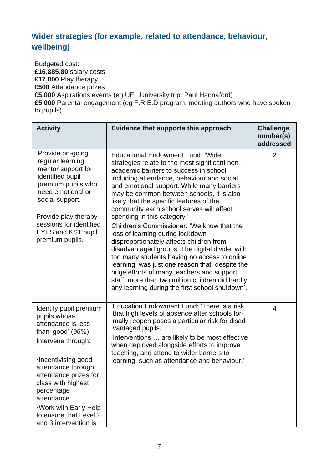## **Wider strategies (for example, related to attendance, behaviour, wellbeing)**

Budgeted cost: **£16,885.80** salary costs **£17,000** Play therapy **£500** Attendance prizes **£5,000** Aspirations events (eg UEL University trip, Paul Hannaford) **£5,000** Parental engagement (eg F.R.E.D program, meeting authors who have spoken to pupils)

| <b>Activity</b>                                                                                                                                                                                                                                                                                               | Evidence that supports this approach                                                                                                                                                                                                                                                                                                                                                                                                                                                                                                                                                                                                                                                                                                                                                                                                          | <b>Challenge</b><br>number(s)<br>addressed |
|---------------------------------------------------------------------------------------------------------------------------------------------------------------------------------------------------------------------------------------------------------------------------------------------------------------|-----------------------------------------------------------------------------------------------------------------------------------------------------------------------------------------------------------------------------------------------------------------------------------------------------------------------------------------------------------------------------------------------------------------------------------------------------------------------------------------------------------------------------------------------------------------------------------------------------------------------------------------------------------------------------------------------------------------------------------------------------------------------------------------------------------------------------------------------|--------------------------------------------|
| Provide on-going<br>regular learning<br>mentor support for<br>identified pupil<br>premium pupils who<br>need emotional or<br>social support.<br>Provide play therapy<br>sessions for identified<br>EYFS and KS1 pupil<br>premium pupils.                                                                      | <b>Educational Endowment Fund: 'Wider</b><br>strategies relate to the most significant non-<br>academic barriers to success in school,<br>including attendance, behaviour and social<br>and emotional support. While many barriers<br>may be common between schools, it is also<br>likely that the specific features of the<br>community each school serves will affect<br>spending in this category.'<br>Children's Commissioner: 'We know that the<br>loss of learning during lockdown<br>disproportionately affects children from<br>disadvantaged groups. The digital divide, with<br>too many students having no access to online<br>learning, was just one reason that, despite the<br>huge efforts of many teachers and support<br>staff, more than two million children did hardly<br>any learning during the first school shutdown'. | 2                                          |
| Identify pupil premium<br>pupils whose<br>attendance is less<br>than 'good' $(95%)$<br>Intervene through:<br>•Incentivising good<br>attendance through<br>attendance prizes for<br>class with highest<br>percentage<br>attendance<br>.Work with Early Help<br>to ensure that Level 2<br>and 3 intervention is | Education Endowment Fund: 'There is a risk<br>that high levels of absence after schools for-<br>mally reopen poses a particular risk for disad-<br>vantaged pupils.'<br>'Interventions  are likely to be most effective<br>when deployed alongside efforts to improve<br>teaching, and attend to wider barriers to<br>learning, such as attendance and behaviour.'                                                                                                                                                                                                                                                                                                                                                                                                                                                                            | $\overline{4}$                             |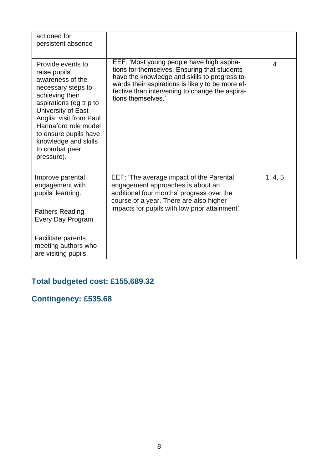| actioned for<br>persistent absence                                                                                                                                                                                                                                                   |                                                                                                                                                                                                                                                                        |                |
|--------------------------------------------------------------------------------------------------------------------------------------------------------------------------------------------------------------------------------------------------------------------------------------|------------------------------------------------------------------------------------------------------------------------------------------------------------------------------------------------------------------------------------------------------------------------|----------------|
| Provide events to<br>raise pupils'<br>awareness of the<br>necessary steps to<br>achieving their<br>aspirations (eg trip to<br>University of East<br>Anglia; visit from Paul<br>Hannaford role model<br>to ensure pupils have<br>knowledge and skills<br>to combat peer<br>pressure). | EEF: 'Most young people have high aspira-<br>tions for themselves. Ensuring that students<br>have the knowledge and skills to progress to-<br>wards their aspirations is likely to be more ef-<br>fective than intervening to change the aspira-<br>tions themselves.' | $\overline{4}$ |
| Improve parental<br>engagement with<br>pupils' learning.<br><b>Fathers Reading</b><br>Every Day Program                                                                                                                                                                              | EEF: 'The average impact of the Parental<br>engagement approaches is about an<br>additional four months' progress over the<br>course of a year. There are also higher<br>impacts for pupils with low prior attainment'.                                                | 1, 4, 5        |
| <b>Facilitate parents</b><br>meeting authors who<br>are visiting pupils.                                                                                                                                                                                                             |                                                                                                                                                                                                                                                                        |                |

## **Total budgeted cost: £155,689.32**

## **Contingency: £535.68**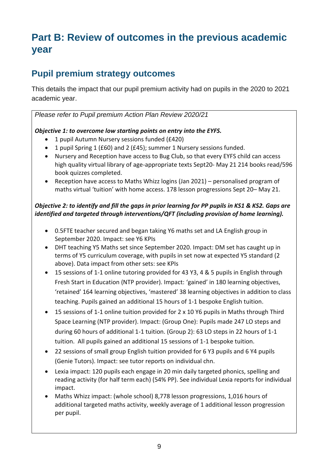# **Part B: Review of outcomes in the previous academic year**

## **Pupil premium strategy outcomes**

This details the impact that our pupil premium activity had on pupils in the 2020 to 2021 academic year.

*Please refer to Pupil premium Action Plan Review 2020/21*

#### *Objective 1: to overcome low starting points on entry into the EYFS.*

- 1 pupil Autumn Nursery sessions funded (£420)
- 1 pupil Spring 1 (£60) and 2 (£45); summer 1 Nursery sessions funded.
- Nursery and Reception have access to Bug Club, so that every EYFS child can access high quality virtual library of age-appropriate texts Sept20- May 21 214 books read/596 book quizzes completed.
- Reception have access to Maths Whizz logins (Jan 2021) personalised program of maths virtual 'tuition' with home access. 178 lesson progressions Sept 20– May 21.

#### *Objective 2: to identify and fill the gaps in prior learning for PP pupils in KS1 & KS2. Gaps are identified and targeted through interventions/QFT (including provision of home learning).*

- 0.5FTE teacher secured and began taking Y6 maths set and LA English group in September 2020. Impact: see Y6 KPIs
- DHT teaching Y5 Maths set since September 2020. Impact: DM set has caught up in terms of Y5 curriculum coverage, with pupils in set now at expected Y5 standard (2 above). Data impact from other sets: see KPIs
- 15 sessions of 1-1 online tutoring provided for 43 Y3, 4 & 5 pupils in English through Fresh Start in Education (NTP provider). Impact: 'gained' in 180 learning objectives, 'retained' 164 learning objectives, 'mastered' 38 learning objectives in addition to class teaching. Pupils gained an additional 15 hours of 1-1 bespoke English tuition.
- 15 sessions of 1-1 online tuition provided for 2 x 10 Y6 pupils in Maths through Third Space Learning (NTP provider). Impact: (Group One): Pupils made 247 LO steps and during 60 hours of additional 1-1 tuition. (Group 2): 63 LO steps in 22 hours of 1-1 tuition. All pupils gained an additional 15 sessions of 1-1 bespoke tuition.
- 22 sessions of small group English tuition provided for 6 Y3 pupils and 6 Y4 pupils (Genie Tutors). Impact: see tutor reports on individual chn.
- Lexia impact: 120 pupils each engage in 20 min daily targeted phonics, spelling and reading activity (for half term each) (54% PP). See individual Lexia reports for individual impact.
- Maths Whizz impact: (whole school) 8,778 lesson progressions, 1,016 hours of additional targeted maths activity, weekly average of 1 additional lesson progression per pupil.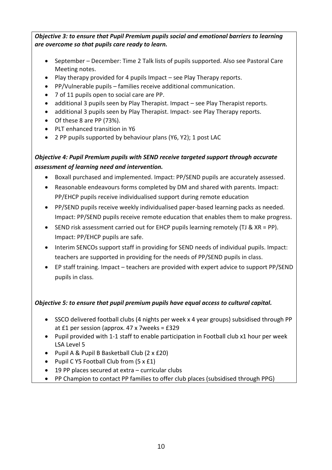#### *Objective 3: to ensure that Pupil Premium pupils social and emotional barriers to learning are overcome so that pupils care ready to learn.*

- September December: Time 2 Talk lists of pupils supported. Also see Pastoral Care Meeting notes.
- Play therapy provided for 4 pupils Impact see Play Therapy reports.
- PP/Vulnerable pupils families receive additional communication.
- 7 of 11 pupils open to social care are PP.
- additional 3 pupils seen by Play Therapist. Impact see Play Therapist reports.
- additional 3 pupils seen by Play Therapist. Impact- see Play Therapy reports.
- Of these 8 are PP (73%).
- PLT enhanced transition in Y6
- 2 PP pupils supported by behaviour plans (Y6, Y2); 1 post LAC

#### *Objective 4: Pupil Premium pupils with SEND receive targeted support through accurate assessment of learning need and intervention.*

- Boxall purchased and implemented. Impact: PP/SEND pupils are accurately assessed.
- Reasonable endeavours forms completed by DM and shared with parents. Impact: PP/EHCP pupils receive individualised support during remote education
- PP/SEND pupils receive weekly individualised paper-based learning packs as needed. Impact: PP/SEND pupils receive remote education that enables them to make progress.
- SEND risk assessment carried out for EHCP pupils learning remotely (TJ & XR = PP). Impact: PP/EHCP pupils are safe.
- Interim SENCOs support staff in providing for SEND needs of individual pupils. Impact: teachers are supported in providing for the needs of PP/SEND pupils in class.
- EP staff training. Impact teachers are provided with expert advice to support PP/SEND pupils in class.

#### *Objective 5: to ensure that pupil premium pupils have equal access to cultural capital.*

- SSCO delivered football clubs (4 nights per week x 4 year groups) subsidised through PP at £1 per session (approx. 47 x 7weeks = £329
- Pupil provided with 1-1 staff to enable participation in Football club x1 hour per week LSA Level 5
- Pupil A & Pupil B Basketball Club (2 x £20)
- Pupil C Y5 Football Club from (5 x £1)
- 19 PP places secured at extra curricular clubs
- PP Champion to contact PP families to offer club places (subsidised through PPG)